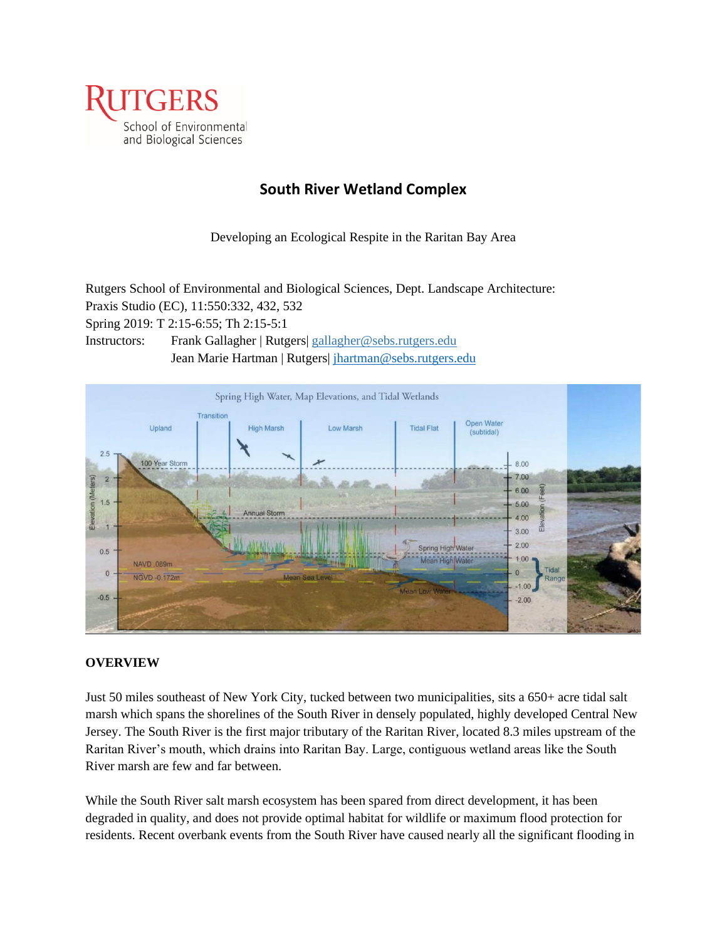

# **South River Wetland Complex**

Developing an Ecological Respite in the Raritan Bay Area

Rutgers School of Environmental and Biological Sciences, Dept. Landscape Architecture: Praxis Studio (EC), 11:550:332, 432, 532

Spring 2019: T 2:15-6:55; Th 2:15-5:1

Instructors: Frank Gallagher | Rutgers[| gallagher@sebs.rutgers.edu](mailto:gallagher@sebs.rutgers.edu) Jean Marie Hartman | Rutgers [| jhartman@sebs.rutgers.edu](mailto:jhartman@sebs.rutgers.edu)



### **OVERVIEW**

Just 50 miles southeast of New York City, tucked between two municipalities, sits a 650+ acre tidal salt marsh which spans the shorelines of the South River in densely populated, highly developed Central New Jersey. The South River is the first major tributary of the Raritan River, located 8.3 miles upstream of the Raritan River's mouth, which drains into Raritan Bay. Large, contiguous wetland areas like the South River marsh are few and far between.

While the South River salt marsh ecosystem has been spared from direct development, it has been degraded in quality, and does not provide optimal habitat for wildlife or maximum flood protection for residents. Recent overbank events from the South River have caused nearly all the significant flooding in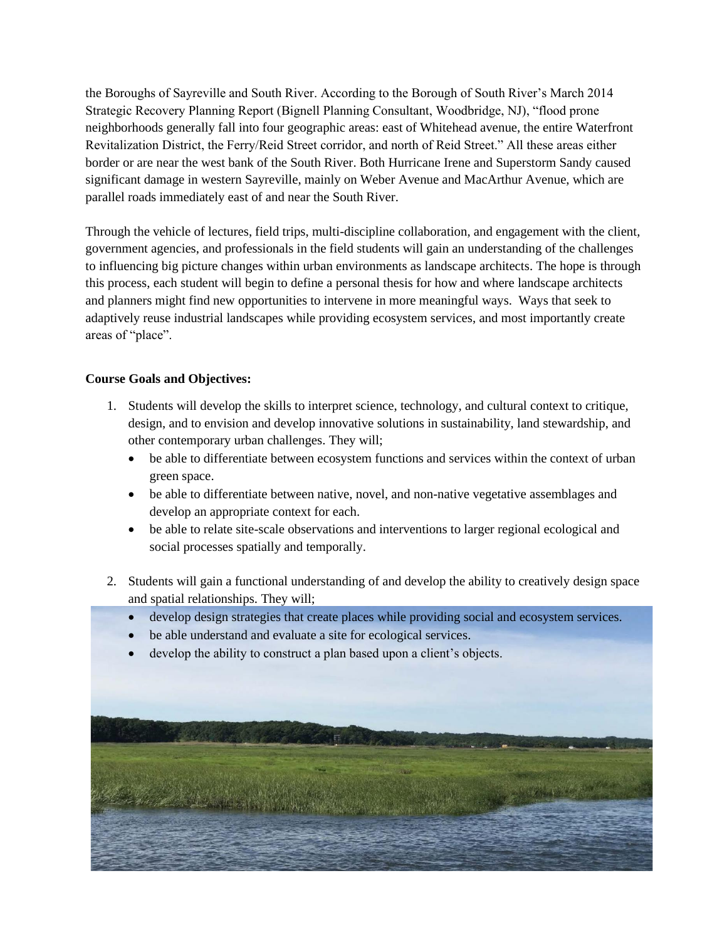the Boroughs of Sayreville and South River. According to the Borough of South River's March 2014 Strategic Recovery Planning Report (Bignell Planning Consultant, Woodbridge, NJ), "flood prone neighborhoods generally fall into four geographic areas: east of Whitehead avenue, the entire Waterfront Revitalization District, the Ferry/Reid Street corridor, and north of Reid Street." All these areas either border or are near the west bank of the South River. Both Hurricane Irene and Superstorm Sandy caused significant damage in western Sayreville, mainly on Weber Avenue and MacArthur Avenue, which are parallel roads immediately east of and near the South River.

Through the vehicle of lectures, field trips, multi-discipline collaboration, and engagement with the client, government agencies, and professionals in the field students will gain an understanding of the challenges to influencing big picture changes within urban environments as landscape architects. The hope is through this process, each student will begin to define a personal thesis for how and where landscape architects and planners might find new opportunities to intervene in more meaningful ways. Ways that seek to adaptively reuse industrial landscapes while providing ecosystem services, and most importantly create areas of "place".

# **Course Goals and Objectives:**

- 1. Students will develop the skills to interpret science, technology, and cultural context to critique, design, and to envision and develop innovative solutions in sustainability, land stewardship, and other contemporary urban challenges. They will;
	- be able to differentiate between ecosystem functions and services within the context of urban green space.
	- be able to differentiate between native, novel, and non-native vegetative assemblages and develop an appropriate context for each.
	- be able to relate site-scale observations and interventions to larger regional ecological and social processes spatially and temporally.
- 2. Students will gain a functional understanding of and develop the ability to creatively design space and spatial relationships. They will;
	- develop design strategies that create places while providing social and ecosystem services.
	- be able understand and evaluate a site for ecological services.
	- develop the ability to construct a plan based upon a client's objects.

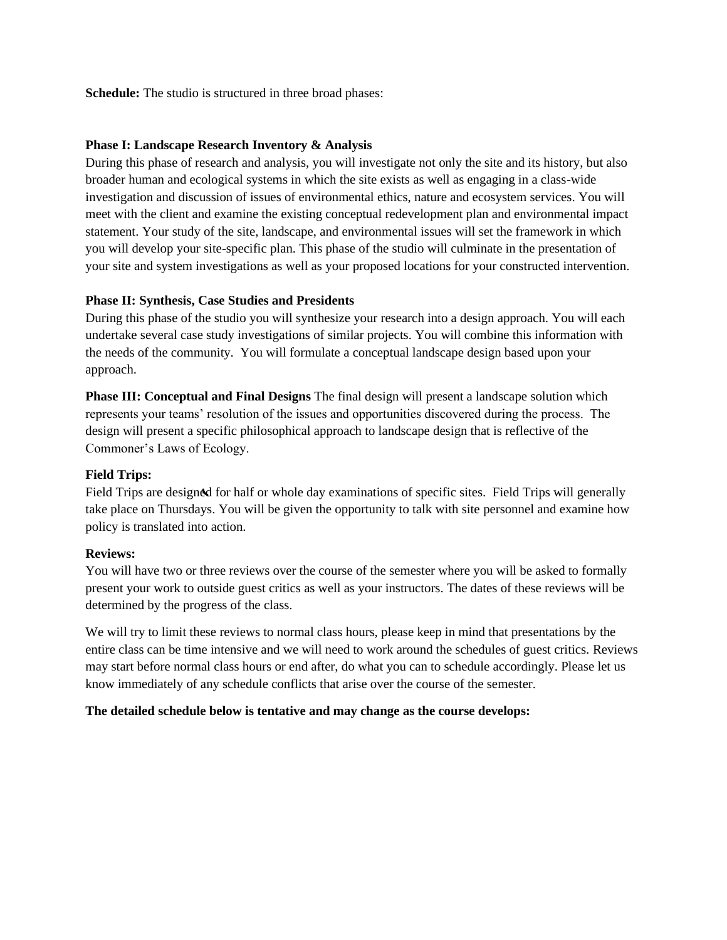**Schedule:** The studio is structured in three broad phases:

#### **Phase I: Landscape Research Inventory & Analysis**

During this phase of research and analysis, you will investigate not only the site and its history, but also broader human and ecological systems in which the site exists as well as engaging in a class-wide investigation and discussion of issues of environmental ethics, nature and ecosystem services. You will meet with the client and examine the existing conceptual redevelopment plan and environmental impact statement. Your study of the site, landscape, and environmental issues will set the framework in which you will develop your site-specific plan. This phase of the studio will culminate in the presentation of your site and system investigations as well as your proposed locations for your constructed intervention.

### **Phase II: Synthesis, Case Studies and Presidents**

During this phase of the studio you will synthesize your research into a design approach. You will each undertake several case study investigations of similar projects. You will combine this information with the needs of the community. You will formulate a conceptual landscape design based upon your approach.

**Phase III: Conceptual and Final Designs** The final design will present a landscape solution which represents your teams' resolution of the issues and opportunities discovered during the process. The design will present a specific philosophical approach to landscape design that is reflective of the Commoner's Laws of Ecology.

#### **Field Trips:**

Field Trips are designed for half or whole day examinations of specific sites. Field Trips will generally take place on Thursdays. You will be given the opportunity to talk with site personnel and examine how policy is translated into action.

#### **Reviews:**

You will have two or three reviews over the course of the semester where you will be asked to formally present your work to outside guest critics as well as your instructors. The dates of these reviews will be determined by the progress of the class.

We will try to limit these reviews to normal class hours, please keep in mind that presentations by the entire class can be time intensive and we will need to work around the schedules of guest critics. Reviews may start before normal class hours or end after, do what you can to schedule accordingly. Please let us know immediately of any schedule conflicts that arise over the course of the semester.

#### **The detailed schedule below is tentative and may change as the course develops:**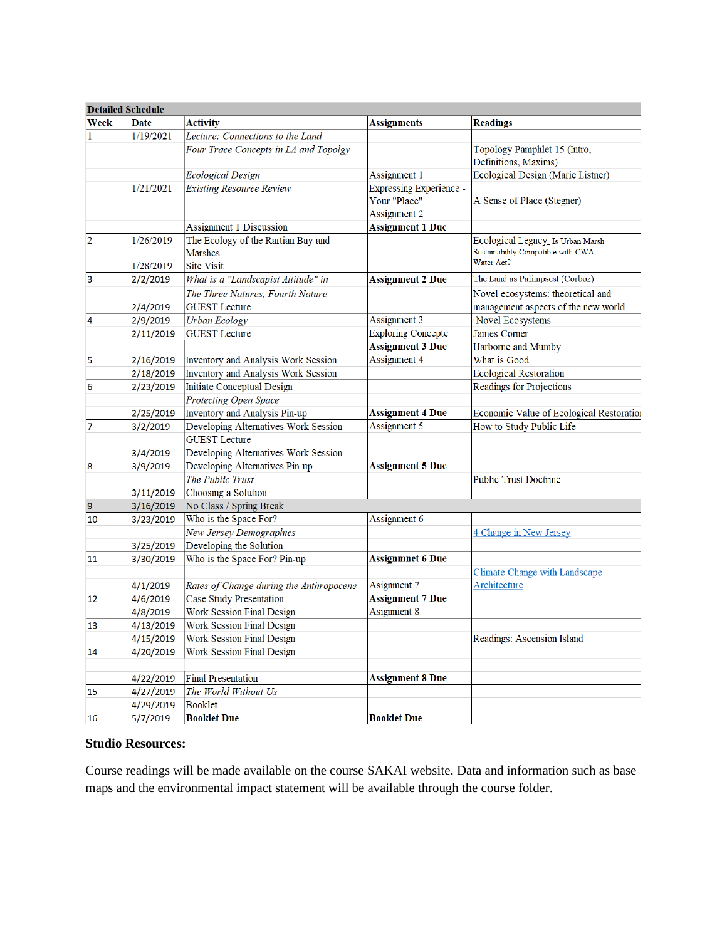|                | <b>Detailed Schedule</b> |                                         |                                |                                          |
|----------------|--------------------------|-----------------------------------------|--------------------------------|------------------------------------------|
| Week           | Date                     | <b>Activity</b>                         | <b>Assignments</b>             | <b>Readings</b>                          |
| 1              | 1/19/2021                | Lecture: Connections to the Land        |                                |                                          |
|                |                          | Four Trace Concepts in LA and Topolgy   |                                | Topology Pamphlet 15 (Intro,             |
|                |                          |                                         |                                | Definitions, Maxims)                     |
|                |                          | <b>Ecological Design</b>                | Assignment 1                   | Ecological Design (Marie Listner)        |
|                | 1/21/2021                | <b>Existing Resource Review</b>         | <b>Expressing Experience -</b> |                                          |
|                |                          |                                         | Your "Place"                   | A Sense of Place (Stegner)               |
|                |                          |                                         | Assignment 2                   |                                          |
|                |                          | <b>Assignment 1 Discussion</b>          | <b>Assignment 1 Due</b>        |                                          |
| $\overline{2}$ | 1/26/2019                | The Ecology of the Rartian Bay and      |                                | Ecological Legacy_Is Urban Marsh         |
|                |                          | <b>Marshes</b>                          |                                | Sustainability Compatible with CWA       |
|                | 1/28/2019                | <b>Site Visit</b>                       |                                | Water Act?                               |
| 3              | 2/2/2019                 | What is a "Landscapist Attitude" in     | <b>Assignment 2 Due</b>        | The Land as Palimpsest (Corboz)          |
|                |                          | The Three Natures, Fourth Nature        |                                | Novel ecosystems: theoretical and        |
|                | 2/4/2019                 | <b>GUEST Lecture</b>                    |                                | management aspects of the new world      |
| 4              | 2/9/2019                 | <b>Urban Ecology</b>                    | Assignment 3                   | <b>Novel Ecosystems</b>                  |
|                | 2/11/2019                | <b>GUEST Lecture</b>                    | <b>Exploring Concepte</b>      | <b>James Corner</b>                      |
|                |                          |                                         | <b>Assignment 3 Due</b>        | Harborne and Mumby                       |
| 5              | 2/16/2019                | Inventory and Analysis Work Session     | Assignment 4                   | What is Good                             |
|                | 2/18/2019                | Inventory and Analysis Work Session     |                                | <b>Ecological Restoration</b>            |
| 6              | 2/23/2019                | Initiate Conceptual Design              |                                | Readings for Projections                 |
|                |                          | Protecting Open Space                   |                                |                                          |
|                | 2/25/2019                | Inventory and Analysis Pin-up           | <b>Assignment 4 Due</b>        | Economic Value of Ecological Restoration |
| $\overline{7}$ | 3/2/2019                 | Developing Alternatives Work Session    | Assignment 5                   | How to Study Public Life                 |
|                |                          | <b>GUEST Lecture</b>                    |                                |                                          |
|                | 3/4/2019                 | Developing Alternatives Work Session    |                                |                                          |
| 8              | 3/9/2019                 | Developing Alternatives Pin-up          | <b>Assignment 5 Due</b>        |                                          |
|                |                          | The Public Trust                        |                                | <b>Public Trust Doctrine</b>             |
|                | 3/11/2019                | Choosing a Solution                     |                                |                                          |
| 9              | 3/16/2019                | No Class / Spring Break                 |                                |                                          |
| 10             | 3/23/2019                | Who is the Space For?                   | Assignment 6                   |                                          |
|                |                          | New Jersey Demographics                 |                                | 4 Change in New Jersey                   |
|                | 3/25/2019                | Developing the Solution                 |                                |                                          |
| 11             | 3/30/2019                | Who is the Space For? Pin-up            | <b>Assignmnet 6 Due</b>        |                                          |
|                |                          |                                         |                                | Climate Change with Landscape            |
|                | 4/1/2019                 | Rates of Change during the Anthropocene | Asignment 7                    | Architecture                             |
| 12             | 4/6/2019                 | <b>Case Study Presentation</b>          | <b>Assignment 7 Due</b>        |                                          |
|                | 4/8/2019                 | <b>Work Session Final Design</b>        | Asignment 8                    |                                          |
| 13             | 4/13/2019                | <b>Work Session Final Design</b>        |                                |                                          |
|                | 4/15/2019                | Work Session Final Design               |                                | Readings: Ascension Island               |
| 14             | 4/20/2019                | <b>Work Session Final Design</b>        |                                |                                          |
|                |                          |                                         |                                |                                          |
|                | 4/22/2019                | <b>Final Presentation</b>               | <b>Assignment 8 Due</b>        |                                          |
| 15             | 4/27/2019                | The World Without Us                    |                                |                                          |
|                | 4/29/2019                | Booklet                                 |                                |                                          |
| 16             | 5/7/2019                 | <b>Booklet Due</b>                      | <b>Booklet Due</b>             |                                          |

### **Studio Resources:**

Course readings will be made available on the course SAKAI website. Data and information such as base maps and the environmental impact statement will be available through the course folder.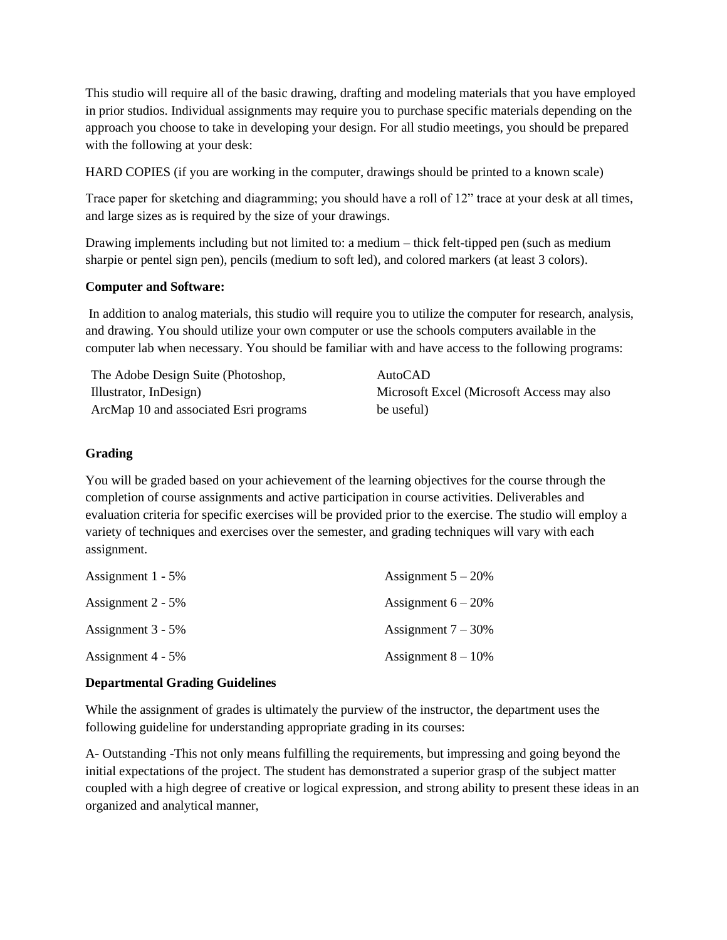This studio will require all of the basic drawing, drafting and modeling materials that you have employed in prior studios. Individual assignments may require you to purchase specific materials depending on the approach you choose to take in developing your design. For all studio meetings, you should be prepared with the following at your desk:

HARD COPIES (if you are working in the computer, drawings should be printed to a known scale)

Trace paper for sketching and diagramming; you should have a roll of 12" trace at your desk at all times, and large sizes as is required by the size of your drawings.

Drawing implements including but not limited to: a medium – thick felt-tipped pen (such as medium sharpie or pentel sign pen), pencils (medium to soft led), and colored markers (at least 3 colors).

#### **Computer and Software:**

In addition to analog materials, this studio will require you to utilize the computer for research, analysis, and drawing. You should utilize your own computer or use the schools computers available in the computer lab when necessary. You should be familiar with and have access to the following programs:

The Adobe Design Suite (Photoshop, Illustrator, InDesign) ArcMap 10 and associated Esri programs AutoCAD Microsoft Excel (Microsoft Access may also be useful)

#### **Grading**

You will be graded based on your achievement of the learning objectives for the course through the completion of course assignments and active participation in course activities. Deliverables and evaluation criteria for specific exercises will be provided prior to the exercise. The studio will employ a variety of techniques and exercises over the semester, and grading techniques will vary with each assignment.

| Assignment $1 - 5\%$ | Assignment $5 - 20\%$ |
|----------------------|-----------------------|
| Assignment $2 - 5\%$ | Assignment $6 - 20\%$ |
| Assignment $3 - 5\%$ | Assignment $7 - 30\%$ |
| Assignment $4 - 5\%$ | Assignment $8 - 10\%$ |

### **Departmental Grading Guidelines**

While the assignment of grades is ultimately the purview of the instructor, the department uses the following guideline for understanding appropriate grading in its courses:

A- Outstanding -This not only means fulfilling the requirements, but impressing and going beyond the initial expectations of the project. The student has demonstrated a superior grasp of the subject matter coupled with a high degree of creative or logical expression, and strong ability to present these ideas in an organized and analytical manner,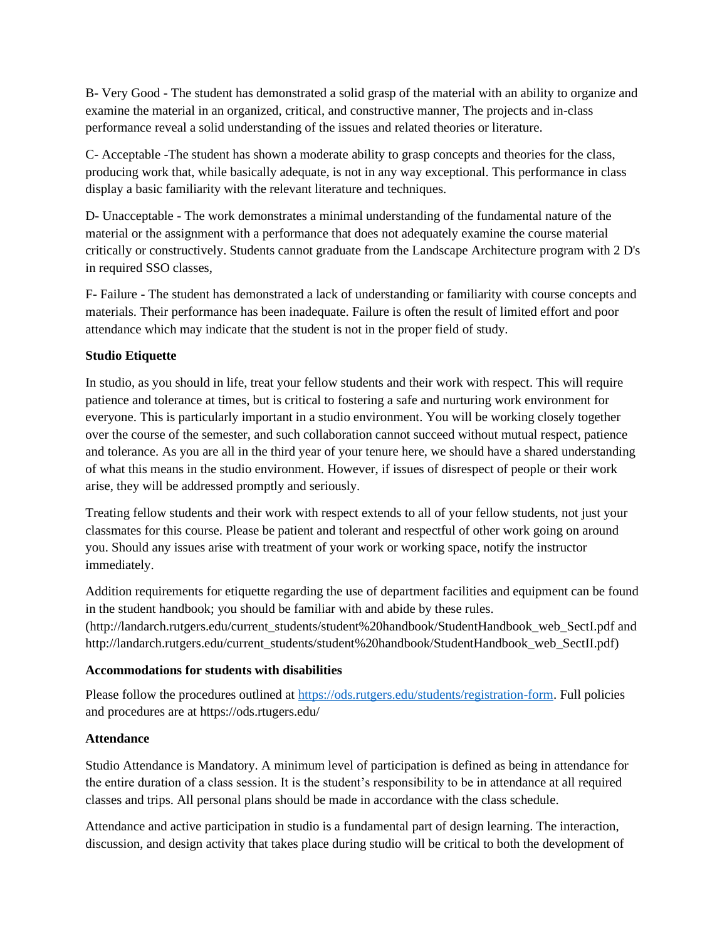B- Very Good - The student has demonstrated a solid grasp of the material with an ability to organize and examine the material in an organized, critical, and constructive manner, The projects and in-class performance reveal a solid understanding of the issues and related theories or literature.

C- Acceptable -The student has shown a moderate ability to grasp concepts and theories for the class, producing work that, while basically adequate, is not in any way exceptional. This performance in class display a basic familiarity with the relevant literature and techniques.

D- Unacceptable - The work demonstrates a minimal understanding of the fundamental nature of the material or the assignment with a performance that does not adequately examine the course material critically or constructively. Students cannot graduate from the Landscape Architecture program with 2 D's in required SSO classes,

F- Failure - The student has demonstrated a lack of understanding or familiarity with course concepts and materials. Their performance has been inadequate. Failure is often the result of limited effort and poor attendance which may indicate that the student is not in the proper field of study.

# **Studio Etiquette**

In studio, as you should in life, treat your fellow students and their work with respect. This will require patience and tolerance at times, but is critical to fostering a safe and nurturing work environment for everyone. This is particularly important in a studio environment. You will be working closely together over the course of the semester, and such collaboration cannot succeed without mutual respect, patience and tolerance. As you are all in the third year of your tenure here, we should have a shared understanding of what this means in the studio environment. However, if issues of disrespect of people or their work arise, they will be addressed promptly and seriously.

Treating fellow students and their work with respect extends to all of your fellow students, not just your classmates for this course. Please be patient and tolerant and respectful of other work going on around you. Should any issues arise with treatment of your work or working space, notify the instructor immediately.

Addition requirements for etiquette regarding the use of department facilities and equipment can be found in the student handbook; you should be familiar with and abide by these rules. [\(http://landarch.rutgers.edu/current\\_students/student%20handbook/StudentHandbook\\_web\\_SectI.pdf](http://landarch.rutgers.edu/current_students/student%20handbook/StudentHandbook_web_SectI.pdf) and http://landarch.rutgers.edu/current\_students/student%20handbook/StudentHandbook\_web\_SectII.pdf)

### **Accommodations for students with disabilities**

Please follow the procedures outlined at [https://ods.rutgers.edu/students/registration-form.](https://ods.rutgers.edu/students/registration-form) Full policies and procedures are at https://ods.rtugers.edu/

# **Attendance**

Studio Attendance is Mandatory. A minimum level of participation is defined as being in attendance for the entire duration of a class session. It is the student's responsibility to be in attendance at all required classes and trips. All personal plans should be made in accordance with the class schedule.

Attendance and active participation in studio is a fundamental part of design learning. The interaction, discussion, and design activity that takes place during studio will be critical to both the development of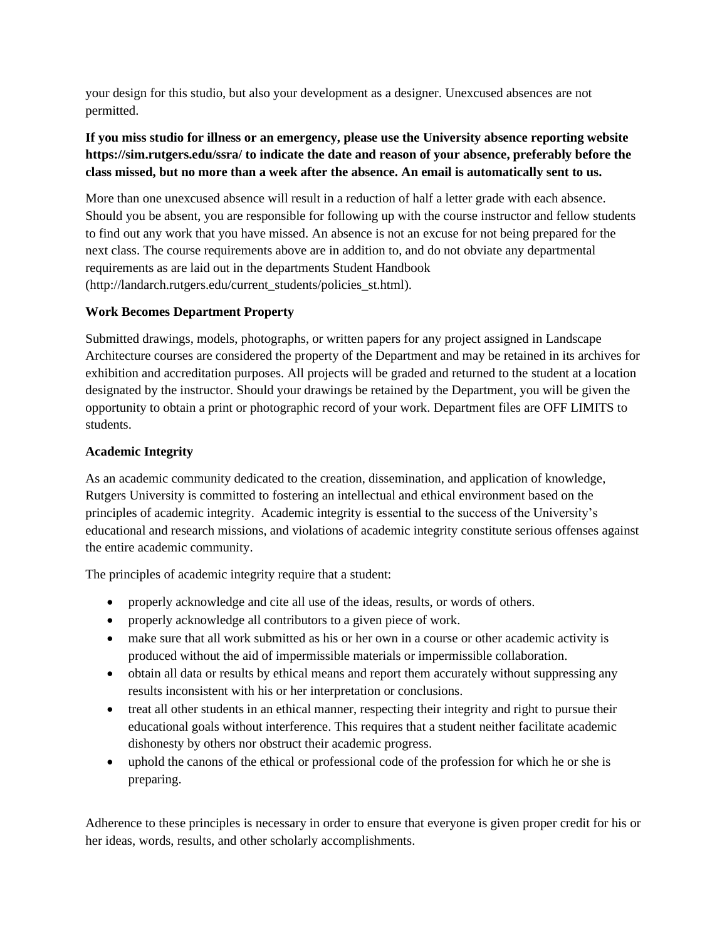your design for this studio, but also your development as a designer. Unexcused absences are not permitted.

# **If you miss studio for illness or an emergency, please use the University absence reporting website <https://sim.rutgers.edu/ssra/> to indicate the date and reason of your absence, preferably before the class missed, but no more than a week after the absence. An email is automatically sent to us.**

More than one unexcused absence will result in a reduction of half a letter grade with each absence. Should you be absent, you are responsible for following up with the course instructor and fellow students to find out any work that you have missed. An absence is not an excuse for not being prepared for the next class. The course requirements above are in addition to, and do not obviate any departmental requirements as are laid out in the departments Student Handbook [\(http://landarch.rutgers.edu/current\\_students/policies\\_st.html\)](http://landarch.rutgers.edu/current_students/policies_st.html).

# **Work Becomes Department Property**

Submitted drawings, models, photographs, or written papers for any project assigned in Landscape Architecture courses are considered the property of the Department and may be retained in its archives for exhibition and accreditation purposes. All projects will be graded and returned to the student at a location designated by the instructor. Should your drawings be retained by the Department, you will be given the opportunity to obtain a print or photographic record of your work. Department files are OFF LIMITS to students.

# **Academic Integrity**

As an academic community dedicated to the creation, dissemination, and application of knowledge, Rutgers University is committed to fostering an intellectual and ethical environment based on the principles of academic integrity. Academic integrity is essential to the success of the University's educational and research missions, and violations of academic integrity constitute serious offenses against the entire academic community.

The principles of academic integrity require that a student:

- properly acknowledge and cite all use of the ideas, results, or words of others.
- properly acknowledge all contributors to a given piece of work.
- make sure that all work submitted as his or her own in a course or other academic activity is produced without the aid of impermissible materials or impermissible collaboration.
- obtain all data or results by ethical means and report them accurately without suppressing any results inconsistent with his or her interpretation or conclusions.
- treat all other students in an ethical manner, respecting their integrity and right to pursue their educational goals without interference. This requires that a student neither facilitate academic dishonesty by others nor obstruct their academic progress.
- uphold the canons of the ethical or professional code of the profession for which he or she is preparing.

Adherence to these principles is necessary in order to ensure that everyone is given proper credit for his or her ideas, words, results, and other scholarly accomplishments.